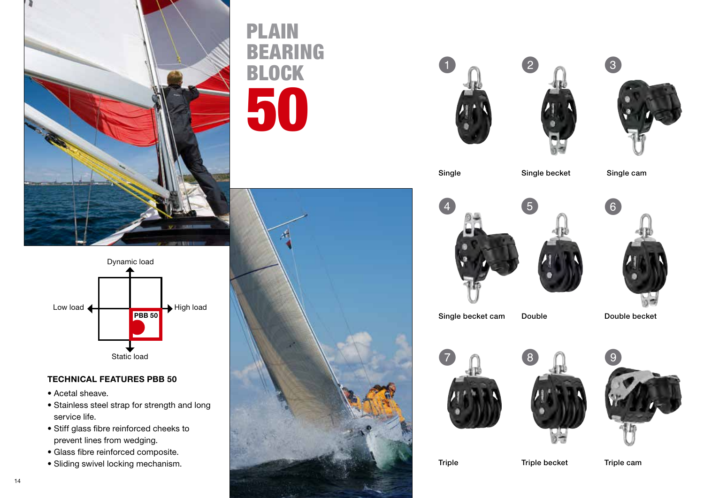

## $\rightarrow$  High load Static load Dynamic load Low load < **PBB 50**

## TECHNICAL FEATURES PBB 50

- Acetal sheave.
- Stainless steel strap for strength and long service life.
- Stiff glass fibre reinforced cheeks to prevent lines from wedging.
- Glass fibre reinforced composite.
- Sliding swivel locking mechanism.

## PLAIN BEARING BLOCK 50









Single Single becket Single cam





Single becket cam Double Double becket







Triple Triple becket Triple cam